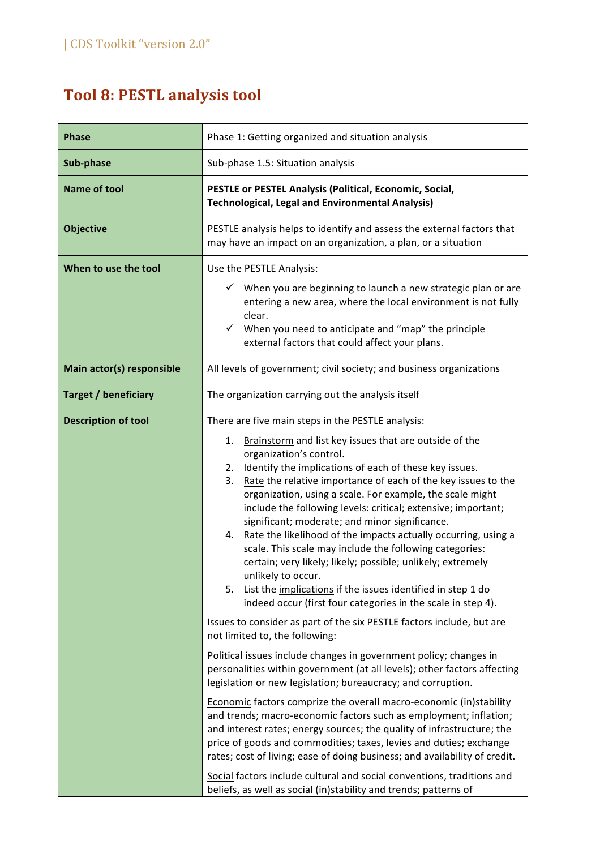## **Tool 8: PESTL analysis tool**

| <b>Phase</b>                | Phase 1: Getting organized and situation analysis                                                                                                                                                                                                                                                                                                                                                                                                                                                                                                                                                                                                                                                                                                                                                                                               |
|-----------------------------|-------------------------------------------------------------------------------------------------------------------------------------------------------------------------------------------------------------------------------------------------------------------------------------------------------------------------------------------------------------------------------------------------------------------------------------------------------------------------------------------------------------------------------------------------------------------------------------------------------------------------------------------------------------------------------------------------------------------------------------------------------------------------------------------------------------------------------------------------|
| Sub-phase                   | Sub-phase 1.5: Situation analysis                                                                                                                                                                                                                                                                                                                                                                                                                                                                                                                                                                                                                                                                                                                                                                                                               |
| <b>Name of tool</b>         | PESTLE or PESTEL Analysis (Political, Economic, Social,<br><b>Technological, Legal and Environmental Analysis)</b>                                                                                                                                                                                                                                                                                                                                                                                                                                                                                                                                                                                                                                                                                                                              |
| <b>Objective</b>            | PESTLE analysis helps to identify and assess the external factors that<br>may have an impact on an organization, a plan, or a situation                                                                                                                                                                                                                                                                                                                                                                                                                                                                                                                                                                                                                                                                                                         |
| When to use the tool        | Use the PESTLE Analysis:<br>When you are beginning to launch a new strategic plan or are<br>entering a new area, where the local environment is not fully<br>clear.<br>$\checkmark$<br>When you need to anticipate and "map" the principle<br>external factors that could affect your plans.                                                                                                                                                                                                                                                                                                                                                                                                                                                                                                                                                    |
| Main actor(s) responsible   | All levels of government; civil society; and business organizations                                                                                                                                                                                                                                                                                                                                                                                                                                                                                                                                                                                                                                                                                                                                                                             |
| <b>Target / beneficiary</b> | The organization carrying out the analysis itself                                                                                                                                                                                                                                                                                                                                                                                                                                                                                                                                                                                                                                                                                                                                                                                               |
| <b>Description of tool</b>  | There are five main steps in the PESTLE analysis:<br>Brainstorm and list key issues that are outside of the<br>1.<br>organization's control.<br>2. Identify the implications of each of these key issues.<br>Rate the relative importance of each of the key issues to the<br>3.<br>organization, using a scale. For example, the scale might<br>include the following levels: critical; extensive; important;<br>significant; moderate; and minor significance.<br>4. Rate the likelihood of the impacts actually occurring, using a<br>scale. This scale may include the following categories:<br>certain; very likely; likely; possible; unlikely; extremely<br>unlikely to occur.<br>List the implications if the issues identified in step 1 do<br>5.<br>indeed occur (first four categories in the scale in step 4).                      |
|                             | Issues to consider as part of the six PESTLE factors include, but are<br>not limited to, the following:<br>Political issues include changes in government policy; changes in<br>personalities within government (at all levels); other factors affecting<br>legislation or new legislation; bureaucracy; and corruption.<br>Economic factors comprize the overall macro-economic (in)stability<br>and trends; macro-economic factors such as employment; inflation;<br>and interest rates; energy sources; the quality of infrastructure; the<br>price of goods and commodities; taxes, levies and duties; exchange<br>rates; cost of living; ease of doing business; and availability of credit.<br>Social factors include cultural and social conventions, traditions and<br>beliefs, as well as social (in)stability and trends; patterns of |